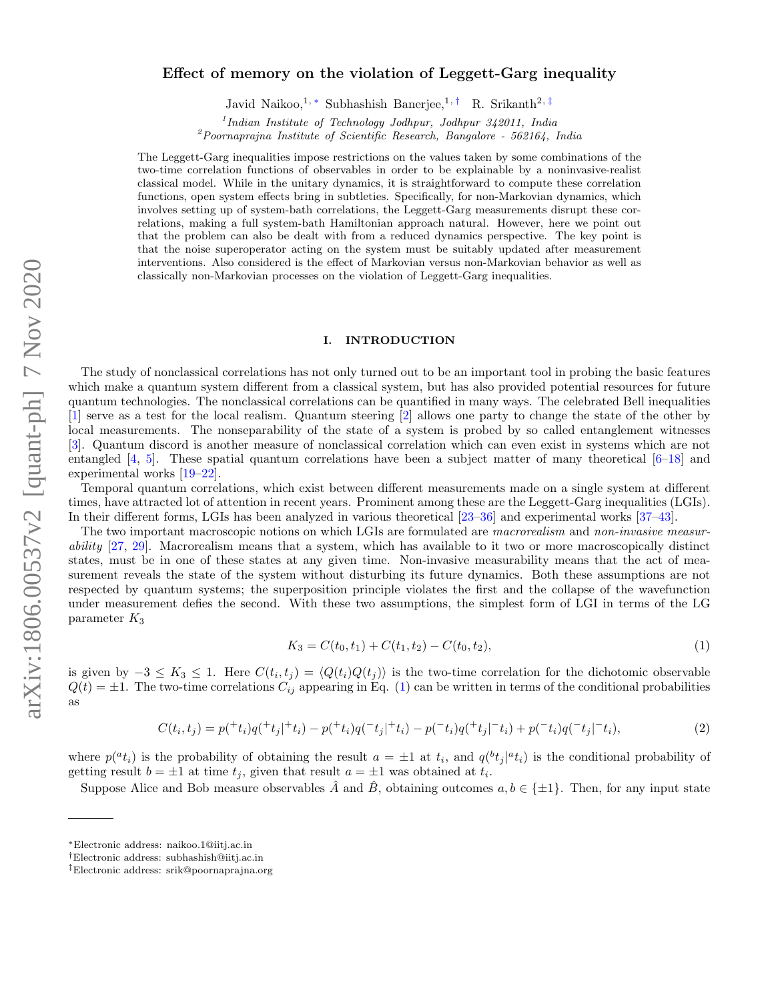# arXiv:1806.00537v2 [quant-ph] 7 Nov 2020 arXiv:1806.00537v2 [quant-ph] 7 Nov 2020

# Effect of memory on the violation of Leggett-Garg inequality

Javid Naikoo,<sup>1, \*</sup> Subhashish Banerjee,<sup>1, †</sup> R. Srikanth<sup>2, ‡</sup>

<sup>1</sup>Indian Institute of Technology Jodhpur, Jodhpur 342011, India

 $2Poornaprajna Institute of Scientific Research, Bangalore - 562164, India$ 

The Leggett-Garg inequalities impose restrictions on the values taken by some combinations of the two-time correlation functions of observables in order to be explainable by a noninvasive-realist classical model. While in the unitary dynamics, it is straightforward to compute these correlation functions, open system effects bring in subtleties. Specifically, for non-Markovian dynamics, which involves setting up of system-bath correlations, the Leggett-Garg measurements disrupt these correlations, making a full system-bath Hamiltonian approach natural. However, here we point out that the problem can also be dealt with from a reduced dynamics perspective. The key point is that the noise superoperator acting on the system must be suitably updated after measurement interventions. Also considered is the effect of Markovian versus non-Markovian behavior as well as classically non-Markovian processes on the violation of Leggett-Garg inequalities.

### I. INTRODUCTION

The study of nonclassical correlations has not only turned out to be an important tool in probing the basic features which make a quantum system different from a classical system, but has also provided potential resources for future quantum technologies. The nonclassical correlations can be quantified in many ways. The celebrated Bell inequalities [1] serve as a test for the local realism. Quantum steering [2] allows one party to change the state of the other by local measurements. The nonseparability of the state of a system is probed by so called entanglement witnesses [3]. Quantum discord is another measure of nonclassical correlation which can even exist in systems which are not entangled [4, 5]. These spatial quantum correlations have been a subject matter of many theoretical [6–18] and experimental works [19–22].

Temporal quantum correlations, which exist between different measurements made on a single system at different times, have attracted lot of attention in recent years. Prominent among these are the Leggett-Garg inequalities (LGIs). In their different forms, LGIs has been analyzed in various theoretical [23–36] and experimental works [37–43].

The two important macroscopic notions on which LGIs are formulated are *macrorealism* and non-invasive measurability  $[27, 29]$ . Macrorealism means that a system, which has available to it two or more macroscopically distinct states, must be in one of these states at any given time. Non-invasive measurability means that the act of measurement reveals the state of the system without disturbing its future dynamics. Both these assumptions are not respected by quantum systems; the superposition principle violates the first and the collapse of the wavefunction under measurement defies the second. With these two assumptions, the simplest form of LGI in terms of the LG parameter  $K_3$ 

$$
K_3 = C(t_0, t_1) + C(t_1, t_2) - C(t_0, t_2), \tag{1}
$$

is given by  $-3 \leq K_3 \leq 1$ . Here  $C(t_i, t_j) = \langle Q(t_i)Q(t_j) \rangle$  is the two-time correlation for the dichotomic observable  $Q(t) = \pm 1$ . The two-time correlations  $C_{ij}$  appearing in Eq. (1) can be written in terms of the conditional probabilities as

$$
C(t_i, t_j) = p(^{+}t_i)q(^{+}t_j|^{+}t_i) - p(^{+}t_i)q(^{-}t_j|^{+}t_i) - p(^{-}t_i)q(^{+}t_j|^{-}t_i) + p(^{-}t_i)q(^{-}t_j|^{-}t_i), \tag{2}
$$

where  $p({}^at_i)$  is the probability of obtaining the result  $a = \pm 1$  at  $t_i$ , and  $q({}^bt_j|{}^at_i)$  is the conditional probability of getting result  $b = \pm 1$  at time  $t_j$ , given that result  $a = \pm 1$  was obtained at  $t_i$ .

Suppose Alice and Bob measure observables A and B, obtaining outcomes  $a, b \in \{\pm 1\}$ . Then, for any input state

<sup>∗</sup>Electronic address: naikoo.1@iitj.ac.in

<sup>†</sup>Electronic address: subhashish@iitj.ac.in

<sup>‡</sup>Electronic address: srik@poornaprajna.org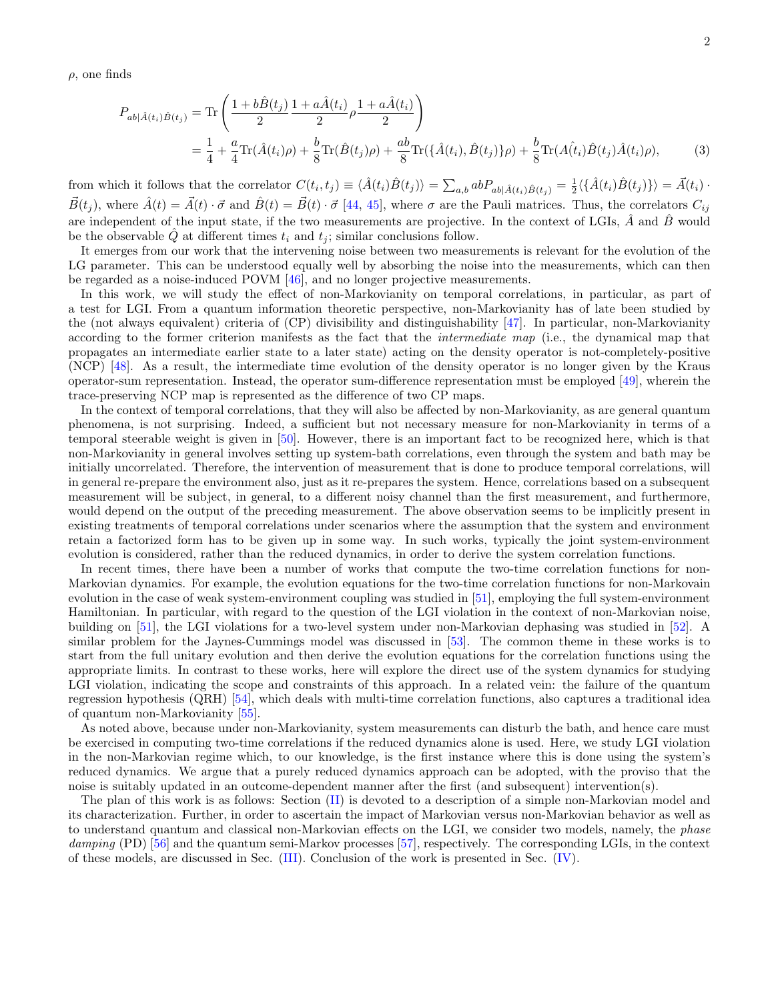$\rho$ , one finds

$$
P_{ab|\hat{A}(t_i)\hat{B}(t_j)} = \text{Tr}\left(\frac{1+b\hat{B}(t_j)}{2}\frac{1+a\hat{A}(t_i)}{2}\rho\frac{1+a\hat{A}(t_i)}{2}\right)
$$
  
=  $\frac{1}{4} + \frac{a}{4}\text{Tr}(\hat{A}(t_i)\rho) + \frac{b}{8}\text{Tr}(\hat{B}(t_j)\rho) + \frac{ab}{8}\text{Tr}(\{\hat{A}(t_i), \hat{B}(t_j)\}\rho) + \frac{b}{8}\text{Tr}(A(\hat{t}_i)\hat{B}(t_j)\hat{A}(t_i)\rho),$  (3)

from which it follows that the correlator  $C(t_i, t_j) \equiv \langle \hat{A}(t_i) \hat{B}(t_j) \rangle = \sum_{a,b} abP_{ab} |A(t_i) \hat{B}(t_j) = \frac{1}{2} \langle \{\hat{A}(t_i) \hat{B}(t_j)\}\rangle = \vec{A}(t_i)$ .  $\vec{B}(t_i)$ , where  $\hat{A}(t) = \vec{A}(t) \cdot \vec{\sigma}$  and  $\hat{B}(t) = \vec{B}(t) \cdot \vec{\sigma}$  [44, 45], where  $\sigma$  are the Pauli matrices. Thus, the correlators  $C_{ij}$ are independent of the input state, if the two measurements are projective. In the context of LGIs,  $\hat{A}$  and  $\hat{B}$  would be the observable  $\tilde{Q}$  at different times  $t_i$  and  $t_j$ ; similar conclusions follow.

It emerges from our work that the intervening noise between two measurements is relevant for the evolution of the LG parameter. This can be understood equally well by absorbing the noise into the measurements, which can then be regarded as a noise-induced POVM [46], and no longer projective measurements.

In this work, we will study the effect of non-Markovianity on temporal correlations, in particular, as part of a test for LGI. From a quantum information theoretic perspective, non-Markovianity has of late been studied by the (not always equivalent) criteria of (CP) divisibility and distinguishability [47]. In particular, non-Markovianity according to the former criterion manifests as the fact that the intermediate map (i.e., the dynamical map that propagates an intermediate earlier state to a later state) acting on the density operator is not-completely-positive (NCP) [48]. As a result, the intermediate time evolution of the density operator is no longer given by the Kraus operator-sum representation. Instead, the operator sum-difference representation must be employed [49], wherein the trace-preserving NCP map is represented as the difference of two CP maps.

In the context of temporal correlations, that they will also be affected by non-Markovianity, as are general quantum phenomena, is not surprising. Indeed, a sufficient but not necessary measure for non-Markovianity in terms of a temporal steerable weight is given in [50]. However, there is an important fact to be recognized here, which is that non-Markovianity in general involves setting up system-bath correlations, even through the system and bath may be initially uncorrelated. Therefore, the intervention of measurement that is done to produce temporal correlations, will in general re-prepare the environment also, just as it re-prepares the system. Hence, correlations based on a subsequent measurement will be subject, in general, to a different noisy channel than the first measurement, and furthermore, would depend on the output of the preceding measurement. The above observation seems to be implicitly present in existing treatments of temporal correlations under scenarios where the assumption that the system and environment retain a factorized form has to be given up in some way. In such works, typically the joint system-environment evolution is considered, rather than the reduced dynamics, in order to derive the system correlation functions.

In recent times, there have been a number of works that compute the two-time correlation functions for non-Markovian dynamics. For example, the evolution equations for the two-time correlation functions for non-Markovain evolution in the case of weak system-environment coupling was studied in [51], employing the full system-environment Hamiltonian. In particular, with regard to the question of the LGI violation in the context of non-Markovian noise, building on [51], the LGI violations for a two-level system under non-Markovian dephasing was studied in [52]. A similar problem for the Jaynes-Cummings model was discussed in [53]. The common theme in these works is to start from the full unitary evolution and then derive the evolution equations for the correlation functions using the appropriate limits. In contrast to these works, here will explore the direct use of the system dynamics for studying LGI violation, indicating the scope and constraints of this approach. In a related vein: the failure of the quantum regression hypothesis (QRH) [54], which deals with multi-time correlation functions, also captures a traditional idea of quantum non-Markovianity [55].

As noted above, because under non-Markovianity, system measurements can disturb the bath, and hence care must be exercised in computing two-time correlations if the reduced dynamics alone is used. Here, we study LGI violation in the non-Markovian regime which, to our knowledge, is the first instance where this is done using the system's reduced dynamics. We argue that a purely reduced dynamics approach can be adopted, with the proviso that the noise is suitably updated in an outcome-dependent manner after the first (and subsequent) intervention(s).

The plan of this work is as follows: Section (II) is devoted to a description of a simple non-Markovian model and its characterization. Further, in order to ascertain the impact of Markovian versus non-Markovian behavior as well as to understand quantum and classical non-Markovian effects on the LGI, we consider two models, namely, the phase damping (PD) [56] and the quantum semi-Markov processes [57], respectively. The corresponding LGIs, in the context of these models, are discussed in Sec. (III). Conclusion of the work is presented in Sec. (IV).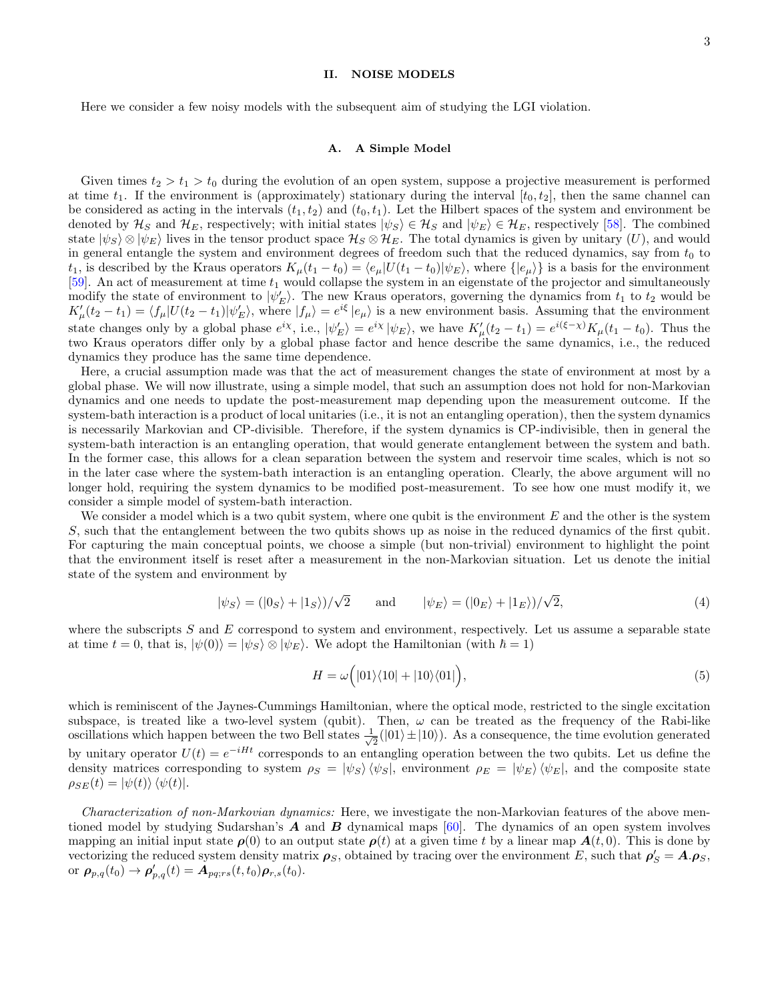# II. NOISE MODELS

Here we consider a few noisy models with the subsequent aim of studying the LGI violation.

## A. A Simple Model

Given times  $t_2 > t_1 > t_0$  during the evolution of an open system, suppose a projective measurement is performed at time  $t_1$ . If the environment is (approximately) stationary during the interval  $[t_0, t_2]$ , then the same channel can be considered as acting in the intervals  $(t_1, t_2)$  and  $(t_0, t_1)$ . Let the Hilbert spaces of the system and environment be denoted by  $\mathcal{H}_S$  and  $\mathcal{H}_E$ , respectively; with initial states  $|\psi_S\rangle \in \mathcal{H}_S$  and  $|\psi_E\rangle \in \mathcal{H}_E$ , respectively [58]. The combined state  $|\psi_{S} \rangle \otimes |\psi_{E} \rangle$  lives in the tensor product space  $\mathcal{H}_{S} \otimes \mathcal{H}_{E}$ . The total dynamics is given by unitary  $(U)$ , and would in general entangle the system and environment degrees of freedom such that the reduced dynamics, say from  $t_0$  to t<sub>1</sub>, is described by the Kraus operators  $K_{\mu}(t_1 - t_0) = \langle e_{\mu} | U(t_1 - t_0) | \psi_E \rangle$ , where  $\{ |e_{\mu}\rangle \}$  is a basis for the environment [59]. An act of measurement at time  $t_1$  would collapse the system in an eigenstate of the projector and simultaneously modify the state of environment to  $|\psi_E\rangle$ . The new Kraus operators, governing the dynamics from  $t_1$  to  $t_2$  would be  $K'_{\mu}(t_2 - t_1) = \langle f_{\mu} | U(t_2 - t_1) | \psi'_{E} \rangle$ , where  $|f_{\mu}\rangle = e^{i\xi} |e_{\mu}\rangle$  is a new environment basis. Assuming that the environment state changes only by a global phase  $e^{ix}$ , i.e.,  $|\psi'_E\rangle = e^{ix} |\psi_E\rangle$ , we have  $K'_{\mu}(t_2 - t_1) = e^{i(\xi - x)} K_{\mu}(t_1 - t_0)$ . Thus the two Kraus operators differ only by a global phase factor and hence describe the same dynamics, i.e., the reduced dynamics they produce has the same time dependence.

Here, a crucial assumption made was that the act of measurement changes the state of environment at most by a global phase. We will now illustrate, using a simple model, that such an assumption does not hold for non-Markovian dynamics and one needs to update the post-measurement map depending upon the measurement outcome. If the system-bath interaction is a product of local unitaries (i.e., it is not an entangling operation), then the system dynamics is necessarily Markovian and CP-divisible. Therefore, if the system dynamics is CP-indivisible, then in general the system-bath interaction is an entangling operation, that would generate entanglement between the system and bath. In the former case, this allows for a clean separation between the system and reservoir time scales, which is not so in the later case where the system-bath interaction is an entangling operation. Clearly, the above argument will no longer hold, requiring the system dynamics to be modified post-measurement. To see how one must modify it, we consider a simple model of system-bath interaction.

We consider a model which is a two qubit system, where one qubit is the environment  $E$  and the other is the system S, such that the entanglement between the two qubits shows up as noise in the reduced dynamics of the first qubit. For capturing the main conceptual points, we choose a simple (but non-trivial) environment to highlight the point that the environment itself is reset after a measurement in the non-Markovian situation. Let us denote the initial state of the system and environment by

$$
|\psi_{S}\rangle = (|0_{S}\rangle + |1_{S}\rangle)/\sqrt{2} \quad \text{and} \quad |\psi_{E}\rangle = (|0_{E}\rangle + |1_{E}\rangle)/\sqrt{2}, \tag{4}
$$

where the subscripts  $S$  and  $E$  correspond to system and environment, respectively. Let us assume a separable state at time  $t = 0$ , that is,  $|\psi(0)\rangle = |\psi_S\rangle \otimes |\psi_E\rangle$ . We adopt the Hamiltonian (with  $\hbar = 1$ )

$$
H = \omega\Big(|01\rangle\langle10| + |10\rangle\langle01|\Big),\tag{5}
$$

which is reminiscent of the Jaynes-Cummings Hamiltonian, where the optical mode, restricted to the single excitation subspace, is treated like a two-level system (qubit). Then,  $\omega$  can be treated as the frequency of the Rabi-like oscillations which happen between the two Bell states  $\frac{1}{\sqrt{2}}$  $\frac{1}{2}(|01\rangle \pm |10\rangle)$ . As a consequence, the time evolution generated by unitary operator  $U(t) = e^{-iHt}$  corresponds to an entangling operation between the two qubits. Let us define the density matrices corresponding to system  $\rho_S = |\psi_S\rangle \langle \psi_S|$ , environment  $\rho_E = |\psi_E\rangle \langle \psi_E|$ , and the composite state  $\rho_{SE}(t) = |\psi(t)\rangle \langle \psi(t)|.$ 

Characterization of non-Markovian dynamics: Here, we investigate the non-Markovian features of the above mentioned model by studying Sudarshan's  $\vec{A}$  and  $\vec{B}$  dynamical maps [60]. The dynamics of an open system involves mapping an initial input state  $\rho(0)$  to an output state  $\rho(t)$  at a given time t by a linear map  $A(t,0)$ . This is done by vectorizing the reduced system density matrix  $\rho_S$ , obtained by tracing over the environment E, such that  $\rho'_S = A.\rho_S$ , or  $\rho_{p,q}(t_0) \rightarrow \rho_{p,q}'(t) = A_{pq;rs}(t,t_0)\rho_{r,s}(t_0)$ .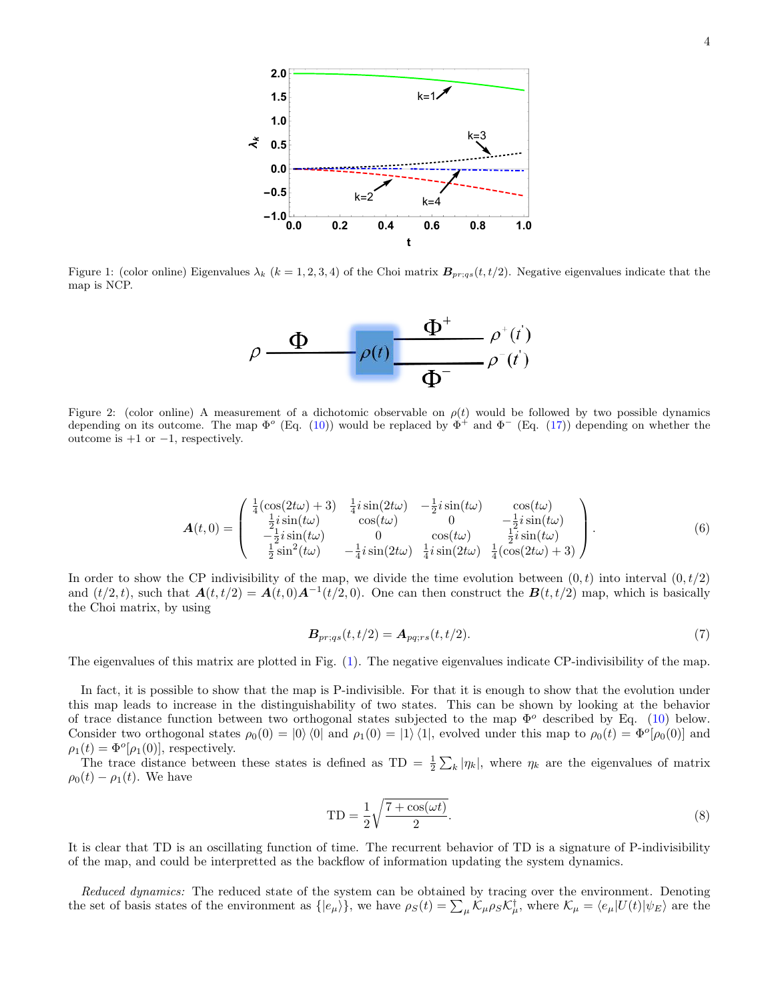

Figure 1: (color online) Eigenvalues  $\lambda_k$  ( $k = 1, 2, 3, 4$ ) of the Choi matrix  $B_{pr;qs}(t, t/2)$ . Negative eigenvalues indicate that the map is NCP.



Figure 2: (color online) A measurement of a dichotomic observable on  $\rho(t)$  would be followed by two possible dynamics depending on its outcome. The map  $\Phi^o$  (Eq. (10)) would be replaced by  $\Phi^+$  and  $\Phi^-$  (Eq. (17)) depending on whether the outcome is  $+1$  or  $-1$ , respectively.

$$
\mathbf{A}(t,0) = \begin{pmatrix} \frac{1}{4}(\cos(2t\omega) + 3) & \frac{1}{4}i\sin(2t\omega) & -\frac{1}{2}i\sin(t\omega) & \cos(t\omega) \\ \frac{1}{2}i\sin(t\omega) & \cos(t\omega) & 0 & -\frac{1}{2}i\sin(t\omega) \\ -\frac{1}{2}i\sin(t\omega) & 0 & \cos(t\omega) & \frac{1}{2}i\sin(t\omega) \\ \frac{1}{2}\sin^2(t\omega) & -\frac{1}{4}i\sin(2t\omega) & \frac{1}{4}i\sin(2t\omega) & \frac{1}{4}(\cos(2t\omega) + 3) \end{pmatrix}.
$$
 (6)

In order to show the CP indivisibility of the map, we divide the time evolution between  $(0, t)$  into interval  $(0, t/2)$ and  $(t/2, t)$ , such that  $\mathbf{A}(t, t/2) = \mathbf{A}(t, 0)\mathbf{A}^{-1}(t/2, 0)$ . One can then construct the  $\mathbf{B}(t, t/2)$  map, which is basically the Choi matrix, by using

$$
\mathbf{B}_{pr;qs}(t,t/2) = \mathbf{A}_{pq;rs}(t,t/2). \tag{7}
$$

The eigenvalues of this matrix are plotted in Fig. (1). The negative eigenvalues indicate CP-indivisibility of the map.

In fact, it is possible to show that the map is P-indivisible. For that it is enough to show that the evolution under this map leads to increase in the distinguishability of two states. This can be shown by looking at the behavior of trace distance function between two orthogonal states subjected to the map  $\Phi^o$  described by Eq. (10) below. Consider two orthogonal states  $\rho_0(0) = |0\rangle\langle 0|$  and  $\rho_1(0) = |1\rangle\langle 1|$ , evolved under this map to  $\rho_0(t) = \Phi^o[\rho_0(0)]$  and  $\rho_1(t) = \Phi^o[\rho_1(0)]$ , respectively.

The trace distance between these states is defined as  $TD = \frac{1}{2} \sum_{k} |\eta_k|$ , where  $\eta_k$  are the eigenvalues of matrix  $\rho_0(t) - \rho_1(t)$ . We have

$$
TD = \frac{1}{2} \sqrt{\frac{7 + \cos(\omega t)}{2}}.
$$
\n(8)

It is clear that TD is an oscillating function of time. The recurrent behavior of TD is a signature of P-indivisibility of the map, and could be interpretted as the backflow of information updating the system dynamics.

Reduced dynamics: The reduced state of the system can be obtained by tracing over the environment. Denoting the set of basis states of the environment as  $\{ |e_{\mu}\rangle\}$ , we have  $\rho_S(t) = \sum_{\mu} \mathcal{K}_{\mu} \rho_S \mathcal{K}_{\mu}^{\dagger}$ , where  $\mathcal{K}_{\mu} = \langle e_{\mu} | U(t) | \psi_E \rangle$  are the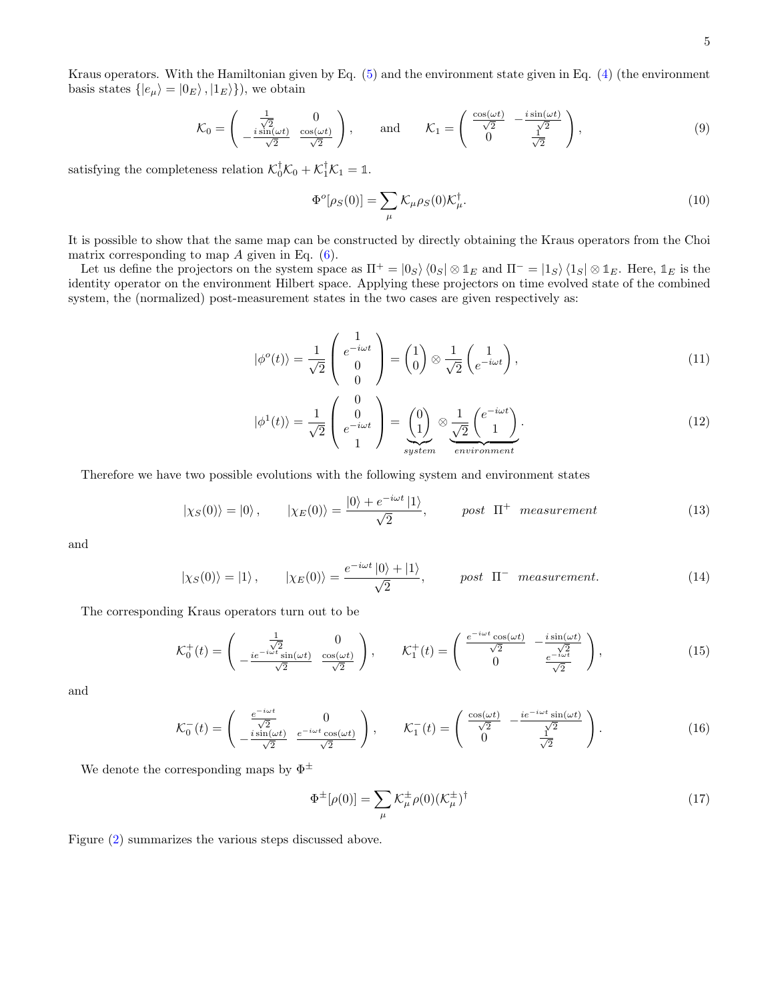Kraus operators. With the Hamiltonian given by Eq. (5) and the environment state given in Eq. (4) (the environment basis states  $\{ |e_{\mu}\rangle = |0_{E}\rangle, |1_{E}\rangle\}$ , we obtain

$$
\mathcal{K}_0 = \begin{pmatrix} \frac{1}{\sqrt{2}} & 0\\ -\frac{i\sin(\omega t)}{\sqrt{2}} & \frac{\cos(\omega t)}{\sqrt{2}} \end{pmatrix}, \quad \text{and} \quad \mathcal{K}_1 = \begin{pmatrix} \frac{\cos(\omega t)}{\sqrt{2}} & -\frac{i\sin(\omega t)}{\sqrt{2}}\\ 0 & \frac{1}{\sqrt{2}} \end{pmatrix}, \tag{9}
$$

satisfying the completeness relation  $\mathcal{K}_0^{\dagger} \mathcal{K}_0 + \mathcal{K}_1^{\dagger} \mathcal{K}_1 = \mathbb{1}$ .

$$
\Phi^o[\rho_S(0)] = \sum_{\mu} \mathcal{K}_{\mu}\rho_S(0)\mathcal{K}_{\mu}^{\dagger}.
$$
\n(10)

It is possible to show that the same map can be constructed by directly obtaining the Kraus operators from the Choi matrix corresponding to map  $A$  given in Eq.  $(6)$ .

Let us define the projectors on the system space as  $\Pi^+ = |0_S\rangle \langle 0_S| \otimes \mathbb{1}_E$  and  $\Pi^- = |1_S\rangle \langle 1_S| \otimes \mathbb{1}_E$ . Here,  $\mathbb{1}_E$  is the identity operator on the environment Hilbert space. Applying these projectors on time evolved state of the combined system, the (normalized) post-measurement states in the two cases are given respectively as:

$$
|\phi^o(t)\rangle = \frac{1}{\sqrt{2}} \begin{pmatrix} 1 \\ e^{-i\omega t} \\ 0 \\ 0 \end{pmatrix} = \begin{pmatrix} 1 \\ 0 \end{pmatrix} \otimes \frac{1}{\sqrt{2}} \begin{pmatrix} 1 \\ e^{-i\omega t} \end{pmatrix}, \tag{11}
$$

$$
|\phi^1(t)\rangle = \frac{1}{\sqrt{2}} \begin{pmatrix} 0 \\ 0 \\ e^{-i\omega t} \\ 1 \end{pmatrix} = \underbrace{\begin{pmatrix} 0 \\ 1 \end{pmatrix}}_{system} \otimes \underbrace{\frac{1}{\sqrt{2}} \begin{pmatrix} e^{-i\omega t} \\ 1 \end{pmatrix}}_{environment}.
$$
 (12)

Therefore we have two possible evolutions with the following system and environment states

$$
|\chi_S(0)\rangle = |0\rangle, \qquad |\chi_E(0)\rangle = \frac{|0\rangle + e^{-i\omega t}|1\rangle}{\sqrt{2}}, \qquad post \ \Pi^+ \ measurement \tag{13}
$$

and

$$
|\chi_S(0)\rangle = |1\rangle, \qquad |\chi_E(0)\rangle = \frac{e^{-i\omega t} |0\rangle + |1\rangle}{\sqrt{2}}, \qquad post \ \Pi^- \ measurement.
$$
 (14)

The corresponding Kraus operators turn out to be

$$
\mathcal{K}_0^+(t) = \begin{pmatrix} \frac{1}{\sqrt{2}} & 0\\ -\frac{ie^{-i\omega t}\sin(\omega t)}{\sqrt{2}} & \frac{\cos(\omega t)}{\sqrt{2}} \end{pmatrix}, \qquad \mathcal{K}_1^+(t) = \begin{pmatrix} \frac{e^{-i\omega t}\cos(\omega t)}{\sqrt{2}} & -\frac{i\sin(\omega t)}{\sqrt{2}}\\ 0 & \frac{e^{-i\omega t}}{\sqrt{2}} \end{pmatrix},\tag{15}
$$

and

$$
\mathcal{K}_0^-(t) = \begin{pmatrix} \frac{e^{-i\omega t}}{\sqrt{2}} & 0\\ -\frac{i\sin(\omega t)}{\sqrt{2}} & \frac{e^{-i\omega t}\cos(\omega t)}{\sqrt{2}} \end{pmatrix}, \qquad \mathcal{K}_1^-(t) = \begin{pmatrix} \frac{\cos(\omega t)}{\sqrt{2}} & -\frac{ie^{-i\omega t}\sin(\omega t)}{\sqrt{2}}\\ 0 & \frac{1}{\sqrt{2}} \end{pmatrix}.
$$
 (16)

We denote the corresponding maps by  $\Phi^{\pm}$ 

$$
\Phi^{\pm}[\rho(0)] = \sum_{\mu} \mathcal{K}_{\mu}^{\pm} \rho(0) (\mathcal{K}_{\mu}^{\pm})^{\dagger} \tag{17}
$$

Figure (2) summarizes the various steps discussed above.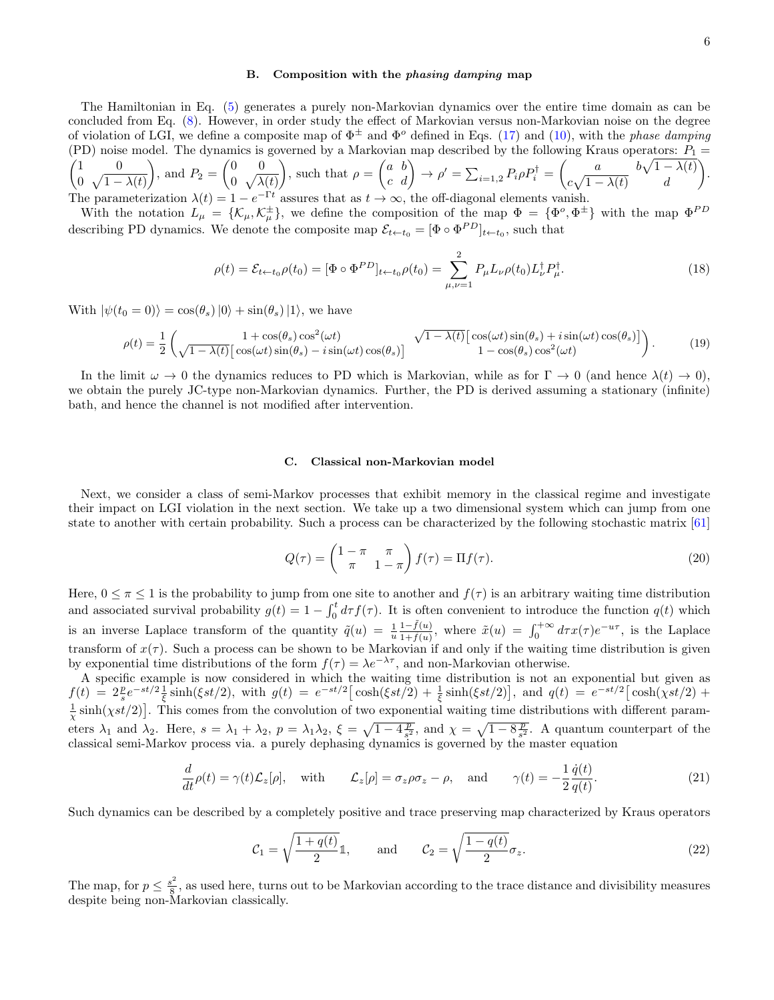### B. Composition with the phasing damping map

The Hamiltonian in Eq. (5) generates a purely non-Markovian dynamics over the entire time domain as can be concluded from Eq. (8). However, in order study the effect of Markovian versus non-Markovian noise on the degree of violation of LGI, we define a composite map of  $\Phi^{\pm}$  and  $\Phi^o$  defined in Eqs. (17) and (10), with the phase damping (PD) noise model. The dynamics is governed by a Markovian map described by the following Kraus operators:  $P_1$  =  $\begin{pmatrix} 1 & 0 \\ 0 & 0 \\ 0 & 0 \\ 0 & 0 \end{pmatrix}$ 0  $\sqrt{1-\lambda(t)}$ ), and  $P_2 = \begin{pmatrix} 0 & 0 \\ 0 & \sqrt{\lambda} \end{pmatrix}$  $0 \sqrt{\lambda(t)}$ ), such that  $\rho = \begin{pmatrix} a & b \\ c & d \end{pmatrix} \rightarrow \rho' = \sum_{i=1,2} P_i \rho P_i^{\dagger} = \begin{pmatrix} a & b\sqrt{1-\lambda(t)} \\ c\sqrt{1-\lambda(t)} & d \end{pmatrix}$  $c\sqrt{1-\lambda(t)}$  d . The parameterization  $\lambda(t) = 1 - e^{-\Gamma t}$  assures that as  $t \to \infty$ , the off-diagonal elements vanish.

With the notation  $L_{\mu} = \{\mathcal{K}_{\mu}, \mathcal{K}_{\mu}^{\pm}\}\$ , we define the composition of the map  $\Phi = {\Phi^o, \Phi^{\pm}}\$  with the map  $\Phi^{PD}$ describing PD dynamics. We denote the composite map  $\mathcal{E}_{t\leftarrow t_0} = [\Phi \circ \Phi^{PD}]_{t\leftarrow t_0}$ , such that

$$
\rho(t) = \mathcal{E}_{t \leftarrow t_0} \rho(t_0) = [\Phi \circ \Phi^{PD}]_{t \leftarrow t_0} \rho(t_0) = \sum_{\mu, \nu=1}^2 P_{\mu} L_{\nu} \rho(t_0) L_{\nu}^{\dagger} P_{\mu}^{\dagger}.
$$
\n(18)

With  $|\psi(t_0 = 0)\rangle = \cos(\theta_s)|0\rangle + \sin(\theta_s)|1\rangle$ , we have

$$
\rho(t) = \frac{1}{2} \begin{pmatrix} 1 + \cos(\theta_s) \cos^2(\omega t) & \sqrt{1 - \lambda(t)} \left[ \cos(\omega t) \sin(\theta_s) + i \sin(\omega t) \cos(\theta_s) \right] \\ \sqrt{1 - \lambda(t)} \left[ \cos(\omega t) \sin(\theta_s) - i \sin(\omega t) \cos(\theta_s) \right] & 1 - \cos(\theta_s) \cos^2(\omega t) \end{pmatrix} . \tag{19}
$$

In the limit  $\omega \to 0$  the dynamics reduces to PD which is Markovian, while as for  $\Gamma \to 0$  (and hence  $\lambda(t) \to 0$ ), we obtain the purely JC-type non-Markovian dynamics. Further, the PD is derived assuming a stationary (infinite) bath, and hence the channel is not modified after intervention.

### C. Classical non-Markovian model

Next, we consider a class of semi-Markov processes that exhibit memory in the classical regime and investigate their impact on LGI violation in the next section. We take up a two dimensional system which can jump from one state to another with certain probability. Such a process can be characterized by the following stochastic matrix [61]

$$
Q(\tau) = \begin{pmatrix} 1 - \pi & \pi \\ \pi & 1 - \pi \end{pmatrix} f(\tau) = \Pi f(\tau). \tag{20}
$$

Here,  $0 \leq \pi \leq 1$  is the probability to jump from one site to another and  $f(\tau)$  is an arbitrary waiting time distribution and associated survival probability  $g(t) = 1 - \int_0^t d\tau f(\tau)$ . It is often convenient to introduce the function  $q(t)$  which is an inverse Laplace transform of the quantity  $\tilde{q}(u) = \frac{1}{u} \frac{1-\tilde{f}(u)}{1+\tilde{f}(u)}$ , where  $\tilde{x}(u) = \int_0^{+\infty} d\tau x(\tau) e^{-u\tau}$ , is the Laplace transform of  $x(\tau)$ . Such a process can be shown to be Markovian if and only if the waiting time distribution is given by exponential time distributions of the form  $f(\tau) = \lambda e^{-\lambda \tau}$ , and non-Markovian otherwise.

A specific example is now considered in which the waiting time distribution is not an exponential but given as  $f(t) = 2\frac{p}{s}e^{-st/2}\frac{1}{\xi}\sinh(\xi st/2)$ , with  $g(t) = e^{-st/2}[\cosh(\xi st/2) + \frac{1}{\xi}\sinh(\xi st/2)]$ , and  $q(t) = e^{-st/2}[\cosh(\chi st/2) +$  $\frac{1}{\chi}$  sinh( $\chi$ st/2)]. This comes from the convolution of two exponential waiting time distributions with different parameters  $\lambda_1$  and  $\lambda_2$ . Here,  $s = \lambda_1 + \lambda_2$ ,  $p = \lambda_1 \lambda_2$ ,  $\xi = \sqrt{1 - 4\frac{p}{s^2}}$ , and  $\chi = \sqrt{1 - 8\frac{p}{s^2}}$ . A quantum counterpart of the classical semi-Markov process via. a purely dephasing dynamics is governed by the master equation

$$
\frac{d}{dt}\rho(t) = \gamma(t)\mathcal{L}_z[\rho], \quad \text{with} \qquad \mathcal{L}_z[\rho] = \sigma_z \rho \sigma_z - \rho, \quad \text{and} \qquad \gamma(t) = -\frac{1}{2}\frac{\dot{q}(t)}{q(t)}.\tag{21}
$$

Such dynamics can be described by a completely positive and trace preserving map characterized by Kraus operators

$$
\mathcal{C}_1 = \sqrt{\frac{1+q(t)}{2}} \mathbb{1}, \quad \text{and} \quad \mathcal{C}_2 = \sqrt{\frac{1-q(t)}{2}} \sigma_z. \tag{22}
$$

The map, for  $p \leq \frac{s^2}{8}$  $\frac{8}{8}$ , as used here, turns out to be Markovian according to the trace distance and divisibility measures despite being non-Markovian classically.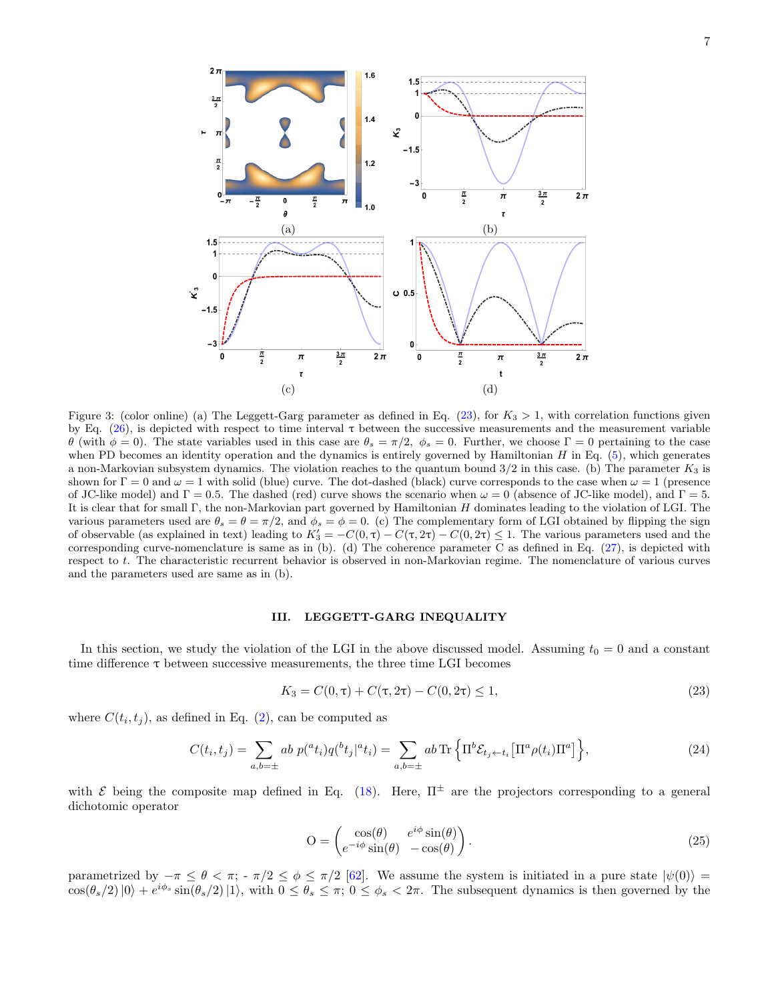

Figure 3: (color online) (a) The Leggett-Garg parameter as defined in Eq.  $(23)$ , for  $K_3 > 1$ , with correlation functions given by Eq.  $(26)$ , is depicted with respect to time interval  $\tau$  between the successive measurements and the measurement variable θ (with  $φ = 0$ ). The state variables used in this case are  $θ_s = π/2$ ,  $φ_s = 0$ . Further, we choose Γ = 0 pertaining to the case when PD becomes an identity operation and the dynamics is entirely governed by Hamiltonian  $H$  in Eq.  $(5)$ , which generates a non-Markovian subsystem dynamics. The violation reaches to the quantum bound  $3/2$  in this case. (b) The parameter  $K_3$  is shown for  $\Gamma = 0$  and  $\omega = 1$  with solid (blue) curve. The dot-dashed (black) curve corresponds to the case when  $\omega = 1$  (presence of JC-like model) and  $\Gamma = 0.5$ . The dashed (red) curve shows the scenario when  $\omega = 0$  (absence of JC-like model), and  $\Gamma = 5$ . It is clear that for small Γ, the non-Markovian part governed by Hamiltonian H dominates leading to the violation of LGI. The various parameters used are  $\theta_s = \theta = \pi/2$ , and  $\phi_s = \phi = 0$ . (c) The complementary form of LGI obtained by flipping the sign of observable (as explained in text) leading to  $K_3' = -C(0, \tau) - C(\tau, 2\tau) - C(0, 2\tau) \leq 1$ . The various parameters used and the corresponding curve-nomenclature is same as in (b). (d) The coherence parameter C as defined in Eq. (27), is depicted with respect to t. The characteristic recurrent behavior is observed in non-Markovian regime. The nomenclature of various curves and the parameters used are same as in (b).

### III. LEGGETT-GARG INEQUALITY

In this section, we study the violation of the LGI in the above discussed model. Assuming  $t_0 = 0$  and a constant time difference  $\tau$  between successive measurements, the three time LGI becomes

$$
K_3 = C(0, \tau) + C(\tau, 2\tau) - C(0, 2\tau) \le 1,
$$
\n(23)

where  $C(t_i, t_j)$ , as defined in Eq. (2), can be computed as

$$
C(t_i, t_j) = \sum_{a,b=\pm} ab \ p({}^a t_i) q({}^b t_j | {}^a t_i) = \sum_{a,b=\pm} ab \operatorname{Tr} \left\{ \Pi^b \mathcal{E}_{t_j \leftarrow t_i} \left[ \Pi^a \rho(t_i) \Pi^a \right] \right\},\tag{24}
$$

with  $\mathcal E$  being the composite map defined in Eq. (18). Here,  $\Pi^{\pm}$  are the projectors corresponding to a general dichotomic operator

$$
O = \begin{pmatrix} \cos(\theta) & e^{i\phi}\sin(\theta) \\ e^{-i\phi}\sin(\theta) & -\cos(\theta) \end{pmatrix}.
$$
 (25)

parametrized by  $-\pi \leq \theta < \pi$ ;  $-\pi/2 \leq \phi \leq \pi/2$  [62]. We assume the system is initiated in a pure state  $|\psi(0)\rangle =$  $\cos(\theta_s/2)|0\rangle + e^{i\phi_s}\sin(\theta_s/2)|1\rangle$ , with  $0 \le \theta_s \le \pi$ ;  $0 \le \phi_s < 2\pi$ . The subsequent dynamics is then governed by the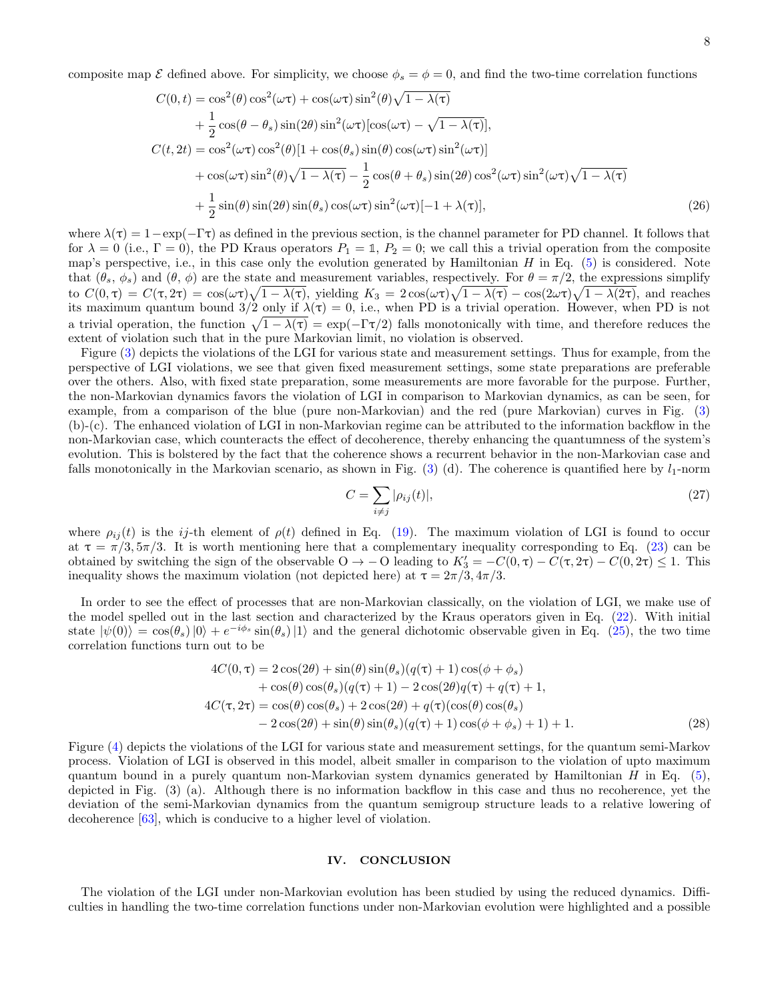composite map  $\mathcal E$  defined above. For simplicity, we choose  $\phi_s = \phi = 0$ , and find the two-time correlation functions

$$
C(0,t) = \cos^{2}(\theta)\cos^{2}(\omega\tau) + \cos(\omega\tau)\sin^{2}(\theta)\sqrt{1-\lambda(\tau)}
$$
  
+  $\frac{1}{2}\cos(\theta-\theta_{s})\sin(2\theta)\sin^{2}(\omega\tau)[\cos(\omega\tau)-\sqrt{1-\lambda(\tau)}],$   

$$
C(t,2t) = \cos^{2}(\omega\tau)\cos^{2}(\theta)[1+\cos(\theta_{s})\sin(\theta)\cos(\omega\tau)\sin^{2}(\omega\tau)]
$$
  
+  $\cos(\omega\tau)\sin^{2}(\theta)\sqrt{1-\lambda(\tau)}-\frac{1}{2}\cos(\theta+\theta_{s})\sin(2\theta)\cos^{2}(\omega\tau)\sin^{2}(\omega\tau)\sqrt{1-\lambda(\tau)}$   
+  $\frac{1}{2}\sin(\theta)\sin(2\theta)\sin(\theta_{s})\cos(\omega\tau)\sin^{2}(\omega\tau)[-1+\lambda(\tau)],$  (26)

where  $\lambda(\tau) = 1 - \exp(-\Gamma \tau)$  as defined in the previous section, is the channel parameter for PD channel. It follows that for  $\lambda = 0$  (i.e.,  $\Gamma = 0$ ), the PD Kraus operators  $P_1 = \mathbb{1}$ ,  $P_2 = 0$ ; we call this a trivial operation from the composite map's perspective, i.e., in this case only the evolution generated by Hamiltonian  $H$  in Eq. (5) is considered. Note that  $(\theta_s, \phi_s)$  and  $(\theta, \phi)$  are the state and measurement variables, respectively. For  $\theta = \pi/2$ , the expressions simplify to  $C(0, \tau) = C(\tau, 2\tau) = \cos(\omega \tau) \sqrt{1 - \lambda(\tau)}$ , yielding  $K_3 = 2 \cos(\omega \tau) \sqrt{1 - \lambda(\tau)} - \cos(2\omega \tau) \sqrt{1 - \lambda(2\tau)}$ , and reaches its maximum quantum bound  $3/2$  only if  $\lambda(\tau) = 0$ , i.e., when PD is a trivial operation. However, when PD is not a trivial operation, the function  $\sqrt{1-\lambda(\tau)} = \exp(-\Gamma \tau/2)$  falls monotonically with time, and therefore reduces the extent of violation such that in the pure Markovian limit, no violation is observed.

Figure (3) depicts the violations of the LGI for various state and measurement settings. Thus for example, from the perspective of LGI violations, we see that given fixed measurement settings, some state preparations are preferable over the others. Also, with fixed state preparation, some measurements are more favorable for the purpose. Further, the non-Markovian dynamics favors the violation of LGI in comparison to Markovian dynamics, as can be seen, for example, from a comparison of the blue (pure non-Markovian) and the red (pure Markovian) curves in Fig. (3) (b)-(c). The enhanced violation of LGI in non-Markovian regime can be attributed to the information backflow in the non-Markovian case, which counteracts the effect of decoherence, thereby enhancing the quantumness of the system's evolution. This is bolstered by the fact that the coherence shows a recurrent behavior in the non-Markovian case and falls monotonically in the Markovian scenario, as shown in Fig. (3) (d). The coherence is quantified here by  $l_1$ -norm

$$
C = \sum_{i \neq j} |\rho_{ij}(t)|,\tag{27}
$$

where  $\rho_{ij}(t)$  is the ij-th element of  $\rho(t)$  defined in Eq. (19). The maximum violation of LGI is found to occur at  $\tau = \pi/3, 5\pi/3$ . It is worth mentioning here that a complementary inequality corresponding to Eq. (23) can be obtained by switching the sign of the observable  $O \to -O$  leading to  $K_3' = -C(0, \tau) - C(\tau, 2\tau) - C(0, 2\tau) \leq 1$ . This inequality shows the maximum violation (not depicted here) at  $\tau = 2\pi/3, 4\pi/3$ .

In order to see the effect of processes that are non-Markovian classically, on the violation of LGI, we make use of the model spelled out in the last section and characterized by the Kraus operators given in Eq. (22). With initial state  $|\psi(0)\rangle = \cos(\theta_s)|0\rangle + e^{-i\phi_s}\sin(\theta_s)|1\rangle$  and the general dichotomic observable given in Eq. (25), the two time correlation functions turn out to be

$$
4C(0, \tau) = 2\cos(2\theta) + \sin(\theta)\sin(\theta_s)(q(\tau) + 1)\cos(\phi + \phi_s)
$$
  
+  $\cos(\theta)\cos(\theta_s)(q(\tau) + 1) - 2\cos(2\theta)q(\tau) + q(\tau) + 1,$   

$$
4C(\tau, 2\tau) = \cos(\theta)\cos(\theta_s) + 2\cos(2\theta) + q(\tau)(\cos(\theta)\cos(\theta_s))
$$
  
-  $2\cos(2\theta) + \sin(\theta)\sin(\theta_s)(q(\tau) + 1)\cos(\phi + \phi_s) + 1) + 1.$  (28)

Figure (4) depicts the violations of the LGI for various state and measurement settings, for the quantum semi-Markov process. Violation of LGI is observed in this model, albeit smaller in comparison to the violation of upto maximum quantum bound in a purely quantum non-Markovian system dynamics generated by Hamiltonian  $H$  in Eq. (5), depicted in Fig. (3) (a). Although there is no information backflow in this case and thus no recoherence, yet the deviation of the semi-Markovian dynamics from the quantum semigroup structure leads to a relative lowering of decoherence [63], which is conducive to a higher level of violation.

## IV. CONCLUSION

The violation of the LGI under non-Markovian evolution has been studied by using the reduced dynamics. Difficulties in handling the two-time correlation functions under non-Markovian evolution were highlighted and a possible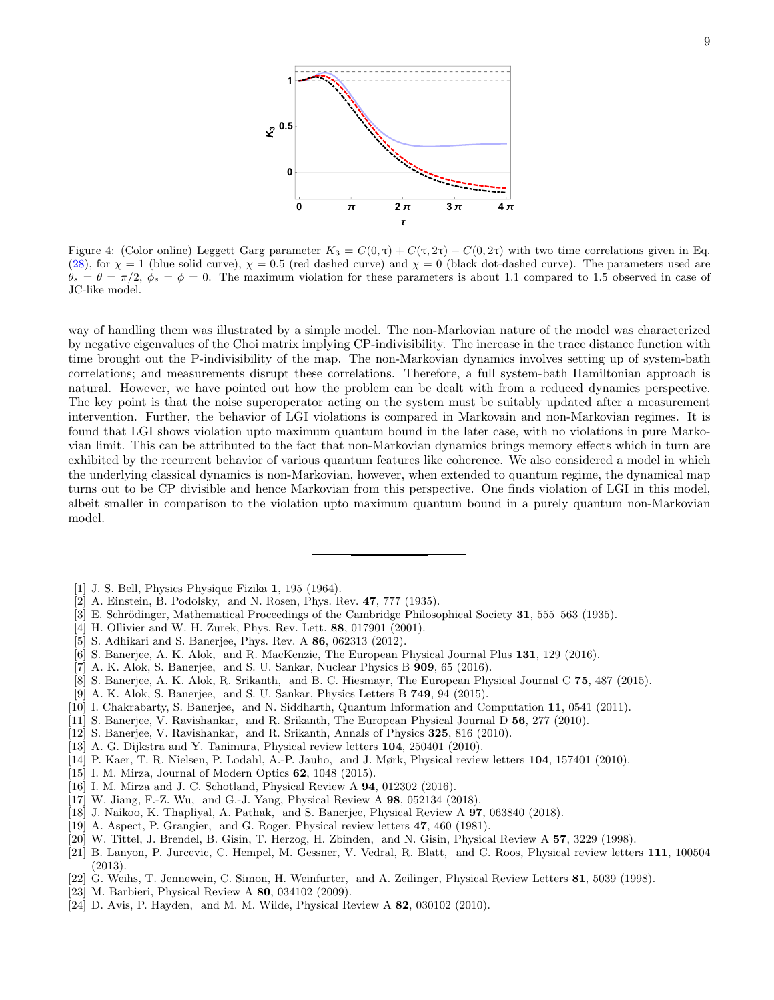

Figure 4: (Color online) Leggett Garg parameter  $K_3 = C(0, \tau) + C(\tau, 2\tau) - C(0, 2\tau)$  with two time correlations given in Eq. (28), for  $\chi = 1$  (blue solid curve),  $\chi = 0.5$  (red dashed curve) and  $\chi = 0$  (black dot-dashed curve). The parameters used are  $\theta_s = \theta = \pi/2$ ,  $\phi_s = \phi = 0$ . The maximum violation for these parameters is about 1.1 compared to 1.5 observed in case of JC-like model.

way of handling them was illustrated by a simple model. The non-Markovian nature of the model was characterized by negative eigenvalues of the Choi matrix implying CP-indivisibility. The increase in the trace distance function with time brought out the P-indivisibility of the map. The non-Markovian dynamics involves setting up of system-bath correlations; and measurements disrupt these correlations. Therefore, a full system-bath Hamiltonian approach is natural. However, we have pointed out how the problem can be dealt with from a reduced dynamics perspective. The key point is that the noise superoperator acting on the system must be suitably updated after a measurement intervention. Further, the behavior of LGI violations is compared in Markovain and non-Markovian regimes. It is found that LGI shows violation upto maximum quantum bound in the later case, with no violations in pure Markovian limit. This can be attributed to the fact that non-Markovian dynamics brings memory effects which in turn are exhibited by the recurrent behavior of various quantum features like coherence. We also considered a model in which the underlying classical dynamics is non-Markovian, however, when extended to quantum regime, the dynamical map turns out to be CP divisible and hence Markovian from this perspective. One finds violation of LGI in this model, albeit smaller in comparison to the violation upto maximum quantum bound in a purely quantum non-Markovian model.

- [1] J. S. Bell, Physics Physique Fizika 1, 195 (1964).
- [2] A. Einstein, B. Podolsky, and N. Rosen, Phys. Rev. 47, 777 (1935).
- [3] E. Schrödinger, Mathematical Proceedings of the Cambridge Philosophical Society 31, 555–563 (1935).
- [4] H. Ollivier and W. H. Zurek, Phys. Rev. Lett. 88, 017901 (2001).
- [5] S. Adhikari and S. Banerjee, Phys. Rev. A 86, 062313 (2012).
- [6] S. Banerjee, A. K. Alok, and R. MacKenzie, The European Physical Journal Plus 131, 129 (2016).
- [7] A. K. Alok, S. Banerjee, and S. U. Sankar, Nuclear Physics B 909, 65 (2016).
- [8] S. Banerjee, A. K. Alok, R. Srikanth, and B. C. Hiesmayr, The European Physical Journal C 75, 487 (2015).
- [9] A. K. Alok, S. Banerjee, and S. U. Sankar, Physics Letters B 749, 94 (2015).
- [10] I. Chakrabarty, S. Banerjee, and N. Siddharth, Quantum Information and Computation 11, 0541 (2011).
- [11] S. Banerjee, V. Ravishankar, and R. Srikanth, The European Physical Journal D 56, 277 (2010).
- [12] S. Banerjee, V. Ravishankar, and R. Srikanth, Annals of Physics 325, 816 (2010).
- [13] A. G. Dijkstra and Y. Tanimura, Physical review letters 104, 250401 (2010).
- [14] P. Kaer, T. R. Nielsen, P. Lodahl, A.-P. Jauho, and J. Mørk, Physical review letters 104, 157401 (2010).
- [15] I. M. Mirza, Journal of Modern Optics 62, 1048 (2015).
- [16] I. M. Mirza and J. C. Schotland, Physical Review A **94**, 012302 (2016).
- [17] W. Jiang, F.-Z. Wu, and G.-J. Yang, Physical Review A 98, 052134 (2018).
- [18] J. Naikoo, K. Thapliyal, A. Pathak, and S. Banerjee, Physical Review A 97, 063840 (2018).
- [19] A. Aspect, P. Grangier, and G. Roger, Physical review letters 47, 460 (1981).
- [20] W. Tittel, J. Brendel, B. Gisin, T. Herzog, H. Zbinden, and N. Gisin, Physical Review A 57, 3229 (1998).
- [21] B. Lanyon, P. Jurcevic, C. Hempel, M. Gessner, V. Vedral, R. Blatt, and C. Roos, Physical review letters 111, 100504 (2013).
- [22] G. Weihs, T. Jennewein, C. Simon, H. Weinfurter, and A. Zeilinger, Physical Review Letters 81, 5039 (1998).
- [23] M. Barbieri, Physical Review A 80, 034102 (2009).
- [24] D. Avis, P. Hayden, and M. M. Wilde, Physical Review A 82, 030102 (2010).